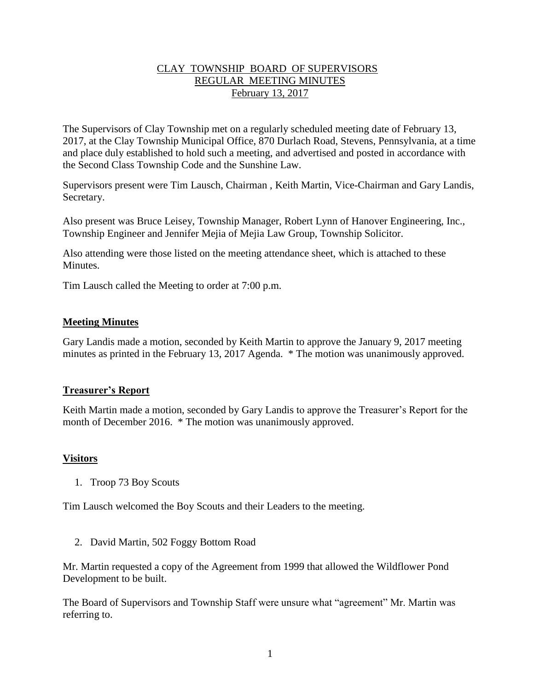# CLAY TOWNSHIP BOARD OF SUPERVISORS REGULAR MEETING MINUTES February 13, 2017

The Supervisors of Clay Township met on a regularly scheduled meeting date of February 13, 2017, at the Clay Township Municipal Office, 870 Durlach Road, Stevens, Pennsylvania, at a time and place duly established to hold such a meeting, and advertised and posted in accordance with the Second Class Township Code and the Sunshine Law.

Supervisors present were Tim Lausch, Chairman , Keith Martin, Vice-Chairman and Gary Landis, Secretary.

Also present was Bruce Leisey, Township Manager, Robert Lynn of Hanover Engineering, Inc., Township Engineer and Jennifer Mejia of Mejia Law Group, Township Solicitor.

Also attending were those listed on the meeting attendance sheet, which is attached to these Minutes.

Tim Lausch called the Meeting to order at 7:00 p.m.

## **Meeting Minutes**

Gary Landis made a motion, seconded by Keith Martin to approve the January 9, 2017 meeting minutes as printed in the February 13, 2017 Agenda. \* The motion was unanimously approved.

#### **Treasurer's Report**

Keith Martin made a motion, seconded by Gary Landis to approve the Treasurer's Report for the month of December 2016. \* The motion was unanimously approved.

#### **Visitors**

1. Troop 73 Boy Scouts

Tim Lausch welcomed the Boy Scouts and their Leaders to the meeting.

2. David Martin, 502 Foggy Bottom Road

Mr. Martin requested a copy of the Agreement from 1999 that allowed the Wildflower Pond Development to be built.

The Board of Supervisors and Township Staff were unsure what "agreement" Mr. Martin was referring to.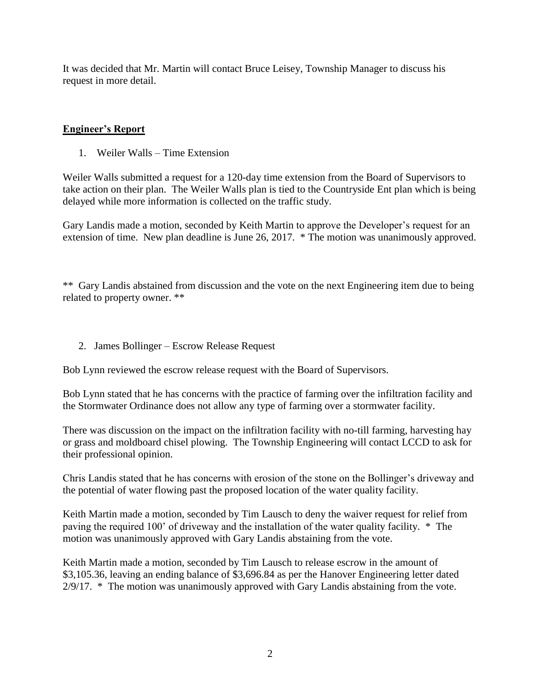It was decided that Mr. Martin will contact Bruce Leisey, Township Manager to discuss his request in more detail.

# **Engineer's Report**

1. Weiler Walls – Time Extension

Weiler Walls submitted a request for a 120-day time extension from the Board of Supervisors to take action on their plan. The Weiler Walls plan is tied to the Countryside Ent plan which is being delayed while more information is collected on the traffic study.

Gary Landis made a motion, seconded by Keith Martin to approve the Developer's request for an extension of time. New plan deadline is June 26, 2017. \* The motion was unanimously approved.

\*\* Gary Landis abstained from discussion and the vote on the next Engineering item due to being related to property owner. \*\*

2. James Bollinger – Escrow Release Request

Bob Lynn reviewed the escrow release request with the Board of Supervisors.

Bob Lynn stated that he has concerns with the practice of farming over the infiltration facility and the Stormwater Ordinance does not allow any type of farming over a stormwater facility.

There was discussion on the impact on the infiltration facility with no-till farming, harvesting hay or grass and moldboard chisel plowing. The Township Engineering will contact LCCD to ask for their professional opinion.

Chris Landis stated that he has concerns with erosion of the stone on the Bollinger's driveway and the potential of water flowing past the proposed location of the water quality facility.

Keith Martin made a motion, seconded by Tim Lausch to deny the waiver request for relief from paving the required 100' of driveway and the installation of the water quality facility. \* The motion was unanimously approved with Gary Landis abstaining from the vote.

Keith Martin made a motion, seconded by Tim Lausch to release escrow in the amount of \$3,105.36, leaving an ending balance of \$3,696.84 as per the Hanover Engineering letter dated 2/9/17. \* The motion was unanimously approved with Gary Landis abstaining from the vote.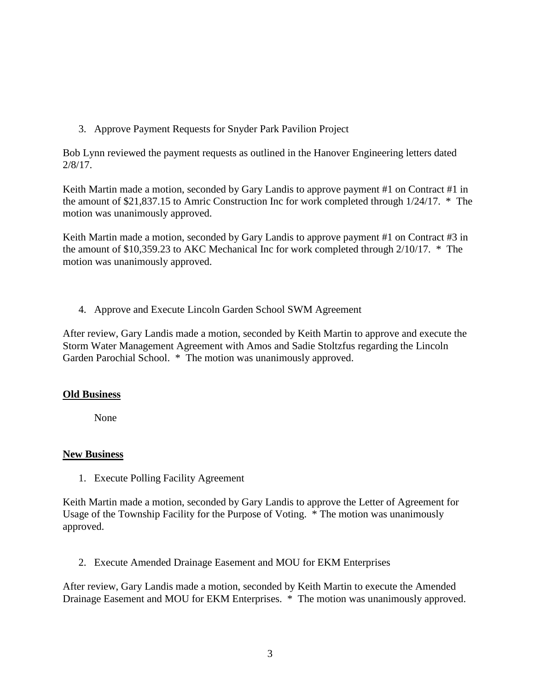3. Approve Payment Requests for Snyder Park Pavilion Project

Bob Lynn reviewed the payment requests as outlined in the Hanover Engineering letters dated 2/8/17.

Keith Martin made a motion, seconded by Gary Landis to approve payment #1 on Contract #1 in the amount of \$21,837.15 to Amric Construction Inc for work completed through 1/24/17. \* The motion was unanimously approved.

Keith Martin made a motion, seconded by Gary Landis to approve payment #1 on Contract #3 in the amount of \$10,359.23 to AKC Mechanical Inc for work completed through 2/10/17. \* The motion was unanimously approved.

4. Approve and Execute Lincoln Garden School SWM Agreement

After review, Gary Landis made a motion, seconded by Keith Martin to approve and execute the Storm Water Management Agreement with Amos and Sadie Stoltzfus regarding the Lincoln Garden Parochial School. \* The motion was unanimously approved.

# **Old Business**

None

# **New Business**

1. Execute Polling Facility Agreement

Keith Martin made a motion, seconded by Gary Landis to approve the Letter of Agreement for Usage of the Township Facility for the Purpose of Voting. \* The motion was unanimously approved.

2. Execute Amended Drainage Easement and MOU for EKM Enterprises

After review, Gary Landis made a motion, seconded by Keith Martin to execute the Amended Drainage Easement and MOU for EKM Enterprises. \* The motion was unanimously approved.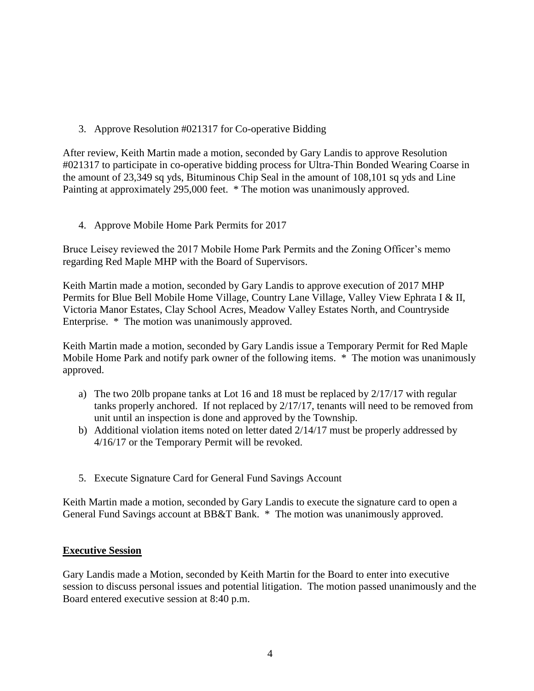3. Approve Resolution #021317 for Co-operative Bidding

After review, Keith Martin made a motion, seconded by Gary Landis to approve Resolution #021317 to participate in co-operative bidding process for Ultra-Thin Bonded Wearing Coarse in the amount of 23,349 sq yds, Bituminous Chip Seal in the amount of 108,101 sq yds and Line Painting at approximately 295,000 feet. \* The motion was unanimously approved.

4. Approve Mobile Home Park Permits for 2017

Bruce Leisey reviewed the 2017 Mobile Home Park Permits and the Zoning Officer's memo regarding Red Maple MHP with the Board of Supervisors.

Keith Martin made a motion, seconded by Gary Landis to approve execution of 2017 MHP Permits for Blue Bell Mobile Home Village, Country Lane Village, Valley View Ephrata I & II, Victoria Manor Estates, Clay School Acres, Meadow Valley Estates North, and Countryside Enterprise. \* The motion was unanimously approved.

Keith Martin made a motion, seconded by Gary Landis issue a Temporary Permit for Red Maple Mobile Home Park and notify park owner of the following items. \* The motion was unanimously approved.

- a) The two 20lb propane tanks at Lot 16 and 18 must be replaced by 2/17/17 with regular tanks properly anchored. If not replaced by 2/17/17, tenants will need to be removed from unit until an inspection is done and approved by the Township.
- b) Additional violation items noted on letter dated 2/14/17 must be properly addressed by 4/16/17 or the Temporary Permit will be revoked.
- 5. Execute Signature Card for General Fund Savings Account

Keith Martin made a motion, seconded by Gary Landis to execute the signature card to open a General Fund Savings account at BB&T Bank. \* The motion was unanimously approved.

#### **Executive Session**

Gary Landis made a Motion, seconded by Keith Martin for the Board to enter into executive session to discuss personal issues and potential litigation. The motion passed unanimously and the Board entered executive session at 8:40 p.m.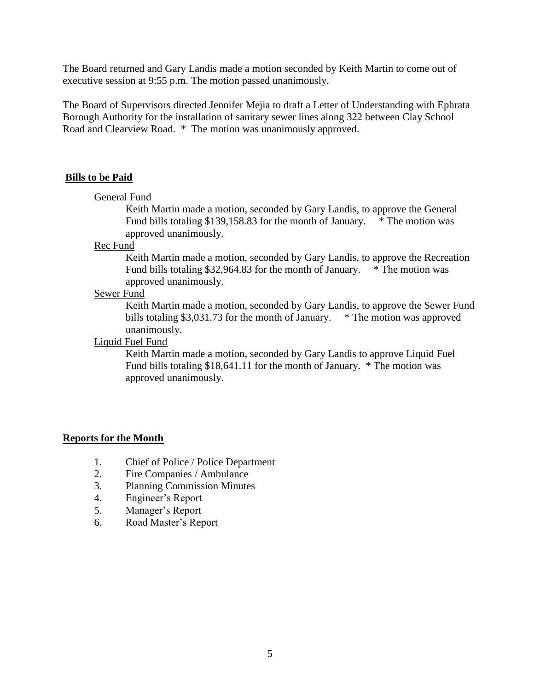The Board returned and Gary Landis made a motion seconded by Keith Martin to come out of executive session at 9:55 p.m. The motion passed unanimously.

The Board of Supervisors directed Jennifer Mejia to draft a Letter of Understanding with Ephrata Borough Authority for the installation of sanitary sewer lines along 322 between Clay School Road and Clearview Road. \* The motion was unanimously approved.

## **Bills to be Paid**

#### General Fund

Keith Martin made a motion, seconded by Gary Landis, to approve the General Fund bills totaling \$139,158.83 for the month of January. \* The motion was approved unanimously.

## Rec Fund

Keith Martin made a motion, seconded by Gary Landis, to approve the Recreation Fund bills totaling \$32,964.83 for the month of January. \* The motion was approved unanimously.

#### Sewer Fund

Keith Martin made a motion, seconded by Gary Landis, to approve the Sewer Fund bills totaling \$3,031.73 for the month of January. \* The motion was approved unanimously.

#### Liquid Fuel Fund

Keith Martin made a motion, seconded by Gary Landis to approve Liquid Fuel Fund bills totaling \$18,641.11 for the month of January. \* The motion was approved unanimously.

# **Reports for the Month**

- 1. Chief of Police / Police Department
- 2. Fire Companies / Ambulance
- 3. Planning Commission Minutes
- 4. Engineer's Report
- 5. Manager's Report
- 6. Road Master's Report